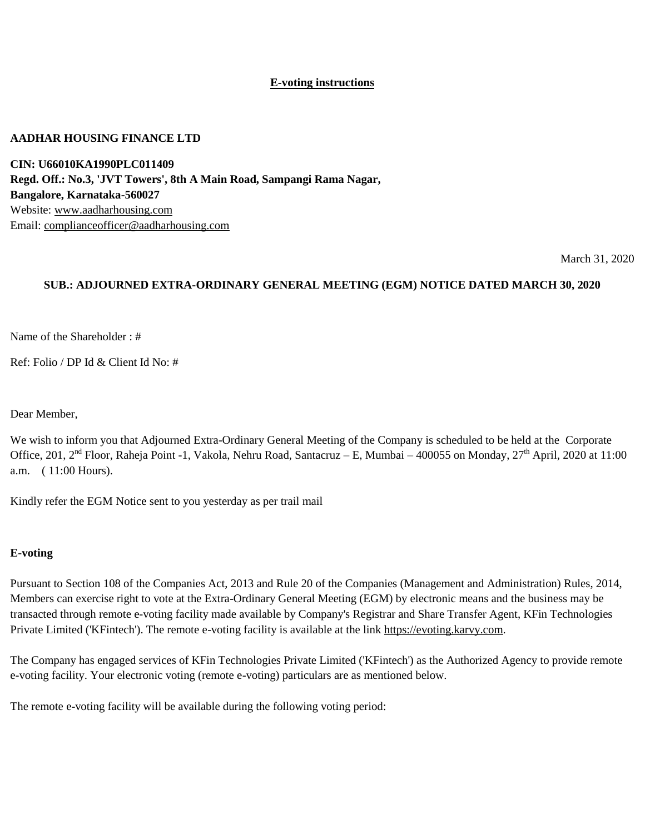#### **E-voting instructions**

#### **AADHAR HOUSING FINANCE LTD**

**CIN: U66010KA1990PLC011409 Regd. Off.: No.3, 'JVT Towers', 8th A Main Road, Sampangi Rama Nagar, Bangalore, Karnataka-560027** Website: [www.aadharhousing.com](http://www.aadharhousing.com/) Email: [complianceofficer@aadharhousing.com](mailto:complianceofficer@aadharhousing.com)

March 31, 2020

#### **SUB.: ADJOURNED EXTRA-ORDINARY GENERAL MEETING (EGM) NOTICE DATED MARCH 30, 2020**

Name of the Shareholder : #

Ref: Folio / DP Id & Client Id No: #

Dear Member,

We wish to inform you that Adjourned Extra-Ordinary General Meeting of the Company is scheduled to be held at the Corporate Office, 201, 2<sup>nd</sup> Floor, Raheja Point -1, Vakola, Nehru Road, Santacruz – E, Mumbai – 400055 on Monday, 27<sup>th</sup> April, 2020 at 11:00 a.m. ( 11:00 Hours).

Kindly refer the EGM Notice sent to you yesterday as per trail mail

#### **E-voting**

Pursuant to Section 108 of the Companies Act, 2013 and Rule 20 of the Companies (Management and Administration) Rules, 2014, Members can exercise right to vote at the Extra-Ordinary General Meeting (EGM) by electronic means and the business may be transacted through remote e-voting facility made available by Company's Registrar and Share Transfer Agent, KFin Technologies Private Limited ('KFintech'). The remote e-voting facility is available at the link [https://evoting.karvy.com.](https://evoting.karvy.com/)

The Company has engaged services of KFin Technologies Private Limited ('KFintech') as the Authorized Agency to provide remote e-voting facility. Your electronic voting (remote e-voting) particulars are as mentioned below.

The remote e-voting facility will be available during the following voting period: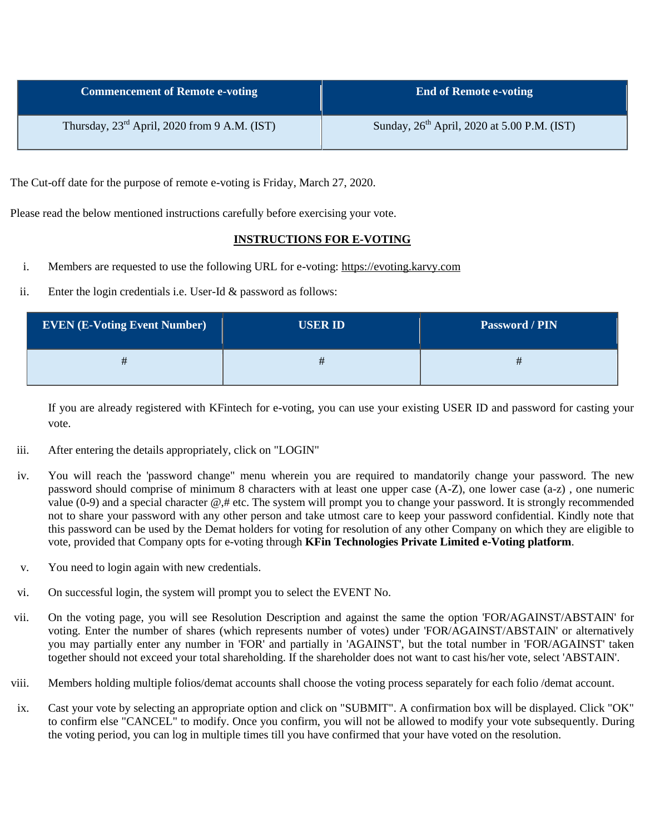| <b>Commencement of Remote e-voting</b>                   | <b>End of Remote e-voting</b>                           |
|----------------------------------------------------------|---------------------------------------------------------|
| Thursday, $23^{\text{rd}}$ April, 2020 from 9 A.M. (IST) | Sunday, 26 <sup>th</sup> April, 2020 at 5.00 P.M. (IST) |

The Cut-off date for the purpose of remote e-voting is Friday, March 27, 2020.

Please read the below mentioned instructions carefully before exercising your vote.

#### **INSTRUCTIONS FOR E-VOTING**

- i. Members are requested to use the following URL for e-voting: [https://evoting.karvy.com](https://evoting.karvy.com/)
- ii. Enter the login credentials i.e. User-Id & password as follows:

| <b>EVEN (E-Voting Event Number)</b> | <b>USER ID</b> | Password / PIN |
|-------------------------------------|----------------|----------------|
|                                     |                | #              |

If you are already registered with KFintech for e-voting, you can use your existing USER ID and password for casting your vote.

- iii. After entering the details appropriately, click on "LOGIN"
- iv. You will reach the 'password change" menu wherein you are required to mandatorily change your password. The new password should comprise of minimum 8 characters with at least one upper case (A-Z), one lower case (a-z) , one numeric value (0-9) and a special character @,# etc. The system will prompt you to change your password. It is strongly recommended not to share your password with any other person and take utmost care to keep your password confidential. Kindly note that this password can be used by the Demat holders for voting for resolution of any other Company on which they are eligible to vote, provided that Company opts for e-voting through **KFin Technologies Private Limited e-Voting platform**.
- v. You need to login again with new credentials.
- vi. On successful login, the system will prompt you to select the EVENT No.
- vii. On the voting page, you will see Resolution Description and against the same the option 'FOR/AGAINST/ABSTAIN' for voting. Enter the number of shares (which represents number of votes) under 'FOR/AGAINST/ABSTAIN' or alternatively you may partially enter any number in 'FOR' and partially in 'AGAINST', but the total number in 'FOR/AGAINST' taken together should not exceed your total shareholding. If the shareholder does not want to cast his/her vote, select 'ABSTAIN'.
- viii. Members holding multiple folios/demat accounts shall choose the voting process separately for each folio /demat account.
- ix. Cast your vote by selecting an appropriate option and click on "SUBMIT". A confirmation box will be displayed. Click "OK" to confirm else "CANCEL" to modify. Once you confirm, you will not be allowed to modify your vote subsequently. During the voting period, you can log in multiple times till you have confirmed that your have voted on the resolution.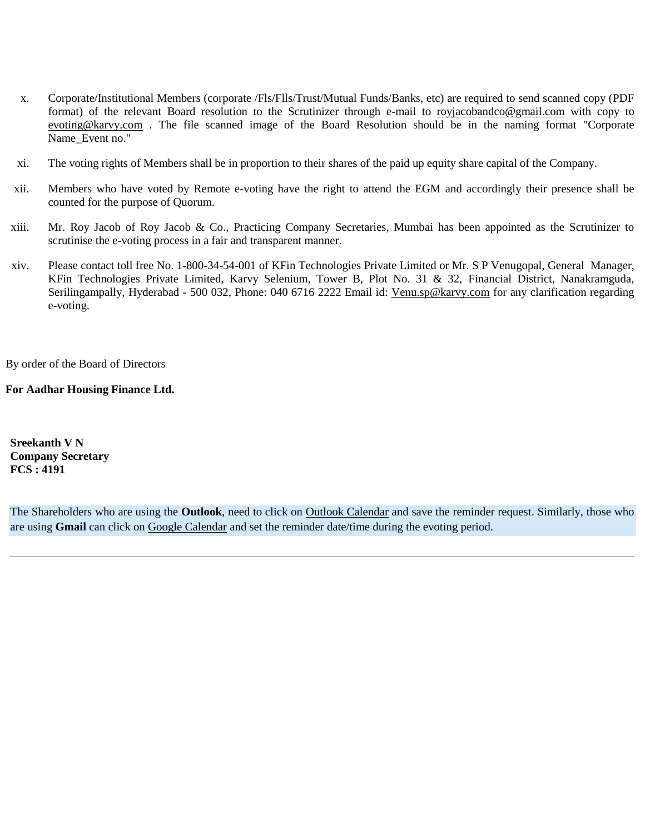- x. Corporate/Institutional Members (corporate /Fls/Flls/Trust/Mutual Funds/Banks, etc) are required to send scanned copy (PDF format) of the relevant Board resolution to the Scrutinizer through e-mail to [royjacobandco@gmail.com](mailto:royjacobandco@gmail.com) with copy to [evoting@karvy.com](mailto:evoting@karvy.com) . The file scanned image of the Board Resolution should be in the naming format "Corporate Name Event no."
- xi. The voting rights of Members shall be in proportion to their shares of the paid up equity share capital of the Company.
- xii. Members who have voted by Remote e-voting have the right to attend the EGM and accordingly their presence shall be counted for the purpose of Quorum.
- xiii. Mr. Roy Jacob of Roy Jacob & Co., Practicing Company Secretaries, Mumbai has been appointed as the Scrutinizer to scrutinise the e-voting process in a fair and transparent manner.
- xiv. Please contact toll free No. 1-800-34-54-001 of KFin Technologies Private Limited or Mr. S P Venugopal, General Manager, KFin Technologies Private Limited, Karvy Selenium, Tower B, Plot No. 31 & 32, Financial District, Nanakramguda, Serilingampally, Hyderabad - 500 032, Phone: 040 6716 2222 Email id: [Venu.sp@karvy.com](mailto:Venu.sp@karvy.com) for any clarification regarding e-voting.

By order of the Board of Directors

**For Aadhar Housing Finance Ltd.**

**Sreekanth V N Company Secretary FCS : 4191**

The Shareholders who are using the **Outlook**, need to click on [Outlook Calendar](http://rti.karvy.com/intranet/evotingcalendar.aspx?even=4029&calendar=outlook) and save the reminder request. Similarly, those who are using **Gmail** can click on [Google Calendar](http://rti.karvy.com/intranet/evotingcalendar.aspx?even=4029&calendar=google) and set the reminder date/time during the evoting period.